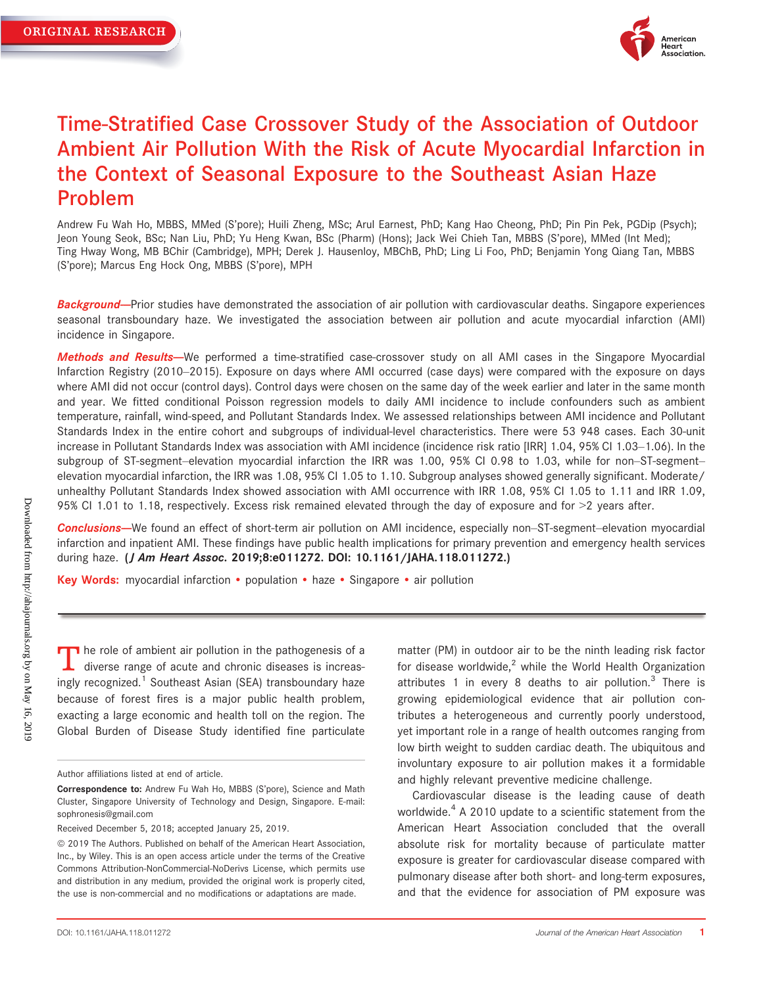

# Time-Stratified Case Crossover Study of the Association of Outdoor Ambient Air Pollution With the Risk of Acute Myocardial Infarction in the Context of Seasonal Exposure to the Southeast Asian Haze Problem

Andrew Fu Wah Ho, MBBS, MMed (S'pore); Huili Zheng, MSc; Arul Earnest, PhD; Kang Hao Cheong, PhD; Pin Pin Pek, PGDip (Psych); Jeon Young Seok, BSc; Nan Liu, PhD; Yu Heng Kwan, BSc (Pharm) (Hons); Jack Wei Chieh Tan, MBBS (S'pore), MMed (Int Med); Ting Hway Wong, MB BChir (Cambridge), MPH; Derek J. Hausenloy, MBChB, PhD; Ling Li Foo, PhD; Benjamin Yong Qiang Tan, MBBS (S'pore); Marcus Eng Hock Ong, MBBS (S'pore), MPH

Background--Prior studies have demonstrated the association of air pollution with cardiovascular deaths. Singapore experiences seasonal transboundary haze. We investigated the association between air pollution and acute myocardial infarction (AMI) incidence in Singapore.

Methods and Results-We performed a time-stratified case-crossover study on all AMI cases in the Singapore Myocardial Infarction Registry (2010–2015). Exposure on days where AMI occurred (case days) were compared with the exposure on days where AMI did not occur (control days). Control days were chosen on the same day of the week earlier and later in the same month and year. We fitted conditional Poisson regression models to daily AMI incidence to include confounders such as ambient temperature, rainfall, wind-speed, and Pollutant Standards Index. We assessed relationships between AMI incidence and Pollutant Standards Index in the entire cohort and subgroups of individual-level characteristics. There were 53 948 cases. Each 30-unit increase in Pollutant Standards Index was association with AMI incidence (incidence risk ratio [IRR] 1.04, 95% CI 1.03–1.06). In the subgroup of ST-segment–elevation myocardial infarction the IRR was 1.00, 95% CI 0.98 to 1.03, while for non–ST-segment– elevation myocardial infarction, the IRR was 1.08, 95% CI 1.05 to 1.10. Subgroup analyses showed generally significant. Moderate/ unhealthy Pollutant Standards Index showed association with AMI occurrence with IRR 1.08, 95% CI 1.05 to 1.11 and IRR 1.09, 95% CI 1.01 to 1.18, respectively. Excess risk remained elevated through the day of exposure and for >2 years after.

Conclusions-We found an effect of short-term air pollution on AMI incidence, especially non-ST-segment-elevation myocardial infarction and inpatient AMI. These findings have public health implications for primary prevention and emergency health services during haze. (J Am Heart Assoc. 2019;8:e011272. DOI: [10.1161/JAHA.118.011272](info:doi/10.1161/JAHA.118.011272).)

Key Words: myocardial infarction • population • haze • Singapore • air pollution

The role of ambient air pollution in the pathogenesis of a diverse range of acute and chronic diseases is increasingly recognized.<sup>1</sup> Southeast Asian (SEA) transboundary haze because of forest fires is a major public health problem, exacting a large economic and health toll on the region. The Global Burden of Disease Study identified fine particulate matter (PM) in outdoor air to be the ninth leading risk factor for disease worldwide, $2$  while the World Health Organization attributes 1 in every 8 deaths to air pollution. $3$  There is growing epidemiological evidence that air pollution contributes a heterogeneous and currently poorly understood, yet important role in a range of health outcomes ranging from low birth weight to sudden cardiac death. The ubiquitous and involuntary exposure to air pollution makes it a formidable and highly relevant preventive medicine challenge.

Cardiovascular disease is the leading cause of death worldwide.<sup>4</sup> A 2010 update to a scientific statement from the American Heart Association concluded that the overall absolute risk for mortality because of particulate matter exposure is greater for cardiovascular disease compared with pulmonary disease after both short- and long-term exposures, and that the evidence for association of PM exposure was

Author affiliations listed at end of article.

Correspondence to: Andrew Fu Wah Ho, MBBS (S'pore), Science and Math Cluster, Singapore University of Technology and Design, Singapore. E-mail: [sophronesis@gmail.com](mailto:sophronesis@gmail.com)

Received December 5, 2018; accepted January 25, 2019.

<sup>© 2019</sup> The Authors. Published on behalf of the American Heart Association, Inc., by Wiley. This is an open access article under the terms of the [Creative](http://creativecommons.org/licenses/by-nc-nd/4.0/) [Commons Attribution-NonCommercial-NoDerivs](http://creativecommons.org/licenses/by-nc-nd/4.0/) License, which permits use and distribution in any medium, provided the original work is properly cited, the use is non-commercial and no modifications or adaptations are made.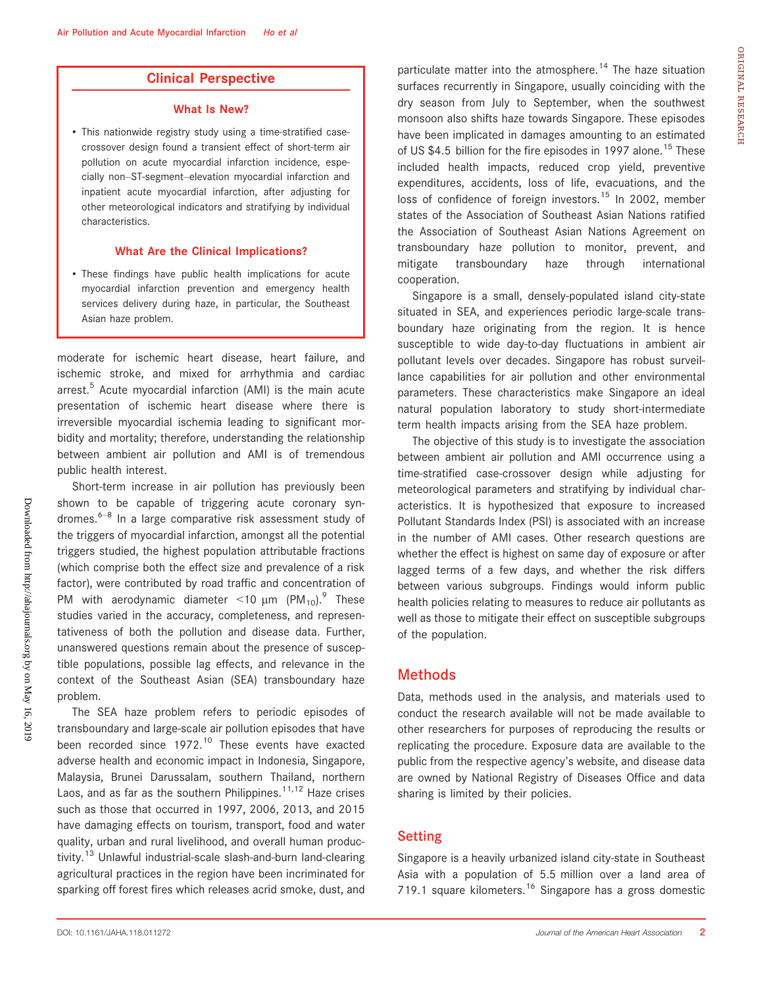## Clinical Perspective

#### What Is New?

• This nationwide registry study using a time-stratified casecrossover design found a transient effect of short-term air pollution on acute myocardial infarction incidence, especially non–ST-segment–elevation myocardial infarction and inpatient acute myocardial infarction, after adjusting for other meteorological indicators and stratifying by individual characteristics.

#### What Are the Clinical Implications?

• These findings have public health implications for acute myocardial infarction prevention and emergency health services delivery during haze, in particular, the Southeast Asian haze problem.

moderate for ischemic heart disease, heart failure, and ischemic stroke, and mixed for arrhythmia and cardiac arrest.<sup>5</sup> Acute myocardial infarction (AMI) is the main acute presentation of ischemic heart disease where there is irreversible myocardial ischemia leading to significant morbidity and mortality; therefore, understanding the relationship between ambient air pollution and AMI is of tremendous public health interest.

Short-term increase in air pollution has previously been shown to be capable of triggering acute coronary syndromes. $6-8$  In a large comparative risk assessment study of the triggers of myocardial infarction, amongst all the potential triggers studied, the highest population attributable fractions (which comprise both the effect size and prevalence of a risk factor), were contributed by road traffic and concentration of PM with aerodynamic diameter  $\leq 10 \mu m$  (PM<sub>10</sub>).<sup>9</sup> These studies varied in the accuracy, completeness, and representativeness of both the pollution and disease data. Further, unanswered questions remain about the presence of susceptible populations, possible lag effects, and relevance in the context of the Southeast Asian (SEA) transboundary haze problem.

The SEA haze problem refers to periodic episodes of transboundary and large-scale air pollution episodes that have been recorded since 1972.<sup>10</sup> These events have exacted adverse health and economic impact in Indonesia, Singapore, Malaysia, Brunei Darussalam, southern Thailand, northern Laos, and as far as the southern Philippines.<sup>11,12</sup> Haze crises such as those that occurred in 1997, 2006, 2013, and 2015 have damaging effects on tourism, transport, food and water quality, urban and rural livelihood, and overall human productivity.<sup>13</sup> Unlawful industrial-scale slash-and-burn land-clearing agricultural practices in the region have been incriminated for sparking off forest fires which releases acrid smoke, dust, and particulate matter into the atmosphere.<sup>14</sup> The haze situation surfaces recurrently in Singapore, usually coinciding with the dry season from July to September, when the southwest monsoon also shifts haze towards Singapore. These episodes have been implicated in damages amounting to an estimated of US \$4.5 billion for the fire episodes in 1997 alone.<sup>15</sup> These included health impacts, reduced crop yield, preventive expenditures, accidents, loss of life, evacuations, and the loss of confidence of foreign investors.<sup>15</sup> In 2002, member states of the Association of Southeast Asian Nations ratified the Association of Southeast Asian Nations Agreement on transboundary haze pollution to monitor, prevent, and mitigate transboundary haze through international cooperation.

Singapore is a small, densely-populated island city-state situated in SEA, and experiences periodic large-scale transboundary haze originating from the region. It is hence susceptible to wide day-to-day fluctuations in ambient air pollutant levels over decades. Singapore has robust surveillance capabilities for air pollution and other environmental parameters. These characteristics make Singapore an ideal natural population laboratory to study short-intermediate term health impacts arising from the SEA haze problem.

The objective of this study is to investigate the association between ambient air pollution and AMI occurrence using a time-stratified case-crossover design while adjusting for meteorological parameters and stratifying by individual characteristics. It is hypothesized that exposure to increased Pollutant Standards Index (PSI) is associated with an increase in the number of AMI cases. Other research questions are whether the effect is highest on same day of exposure or after lagged terms of a few days, and whether the risk differs between various subgroups. Findings would inform public health policies relating to measures to reduce air pollutants as well as those to mitigate their effect on susceptible subgroups of the population.

## Methods

Data, methods used in the analysis, and materials used to conduct the research available will not be made available to other researchers for purposes of reproducing the results or replicating the procedure. Exposure data are available to the public from the respective agency's website, and disease data are owned by National Registry of Diseases Office and data sharing is limited by their policies.

## Setting

Singapore is a heavily urbanized island city-state in Southeast Asia with a population of 5.5 million over a land area of 719.1 square kilometers.<sup>16</sup> Singapore has a gross domestic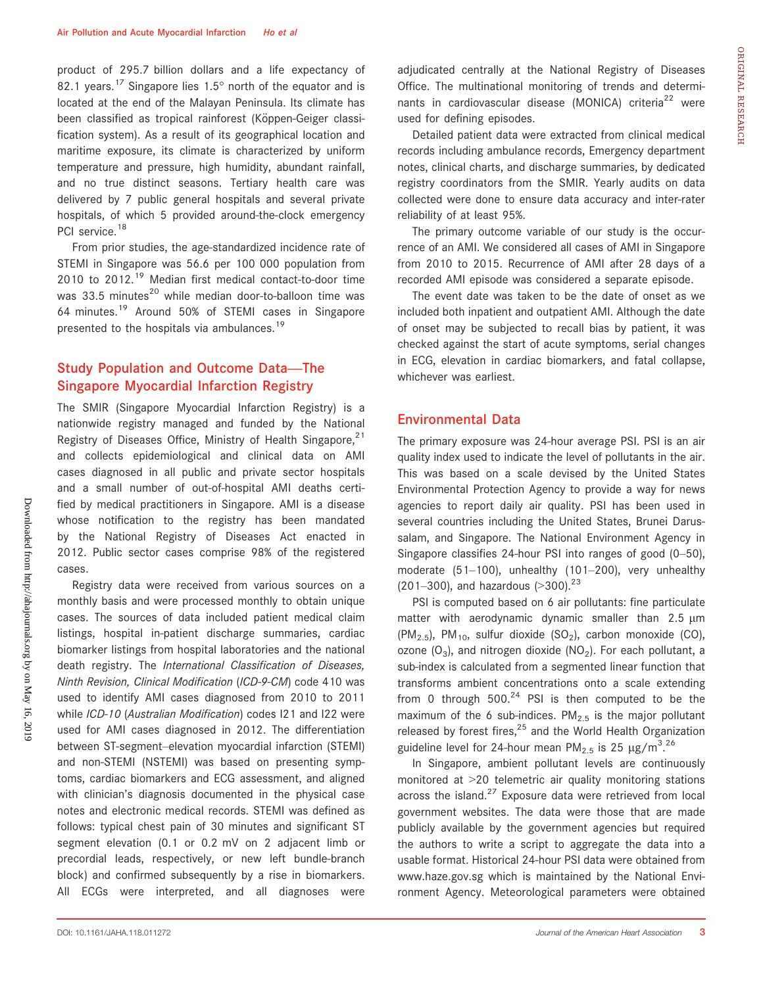product of 295.7 billion dollars and a life expectancy of 82.1 years.<sup>17</sup> Singapore lies 1.5 $^{\circ}$  north of the equator and is located at the end of the Malayan Peninsula. Its climate has been classified as tropical rainforest (Köppen-Geiger classification system). As a result of its geographical location and maritime exposure, its climate is characterized by uniform temperature and pressure, high humidity, abundant rainfall, and no true distinct seasons. Tertiary health care was delivered by 7 public general hospitals and several private hospitals, of which 5 provided around-the-clock emergency PCI service.<sup>18</sup>

From prior studies, the age-standardized incidence rate of STEMI in Singapore was 56.6 per 100 000 population from 2010 to 2012.<sup>19</sup> Median first medical contact-to-door time was 33.5 minutes<sup>20</sup> while median door-to-balloon time was 64 minutes.<sup>19</sup> Around 50% of STEMI cases in Singapore presented to the hospitals via ambulances.<sup>19</sup>

## Study Population and Outcome Data—The Singapore Myocardial Infarction Registry

The SMIR (Singapore Myocardial Infarction Registry) is a nationwide registry managed and funded by the National Registry of Diseases Office, Ministry of Health Singapore, $21$ and collects epidemiological and clinical data on AMI cases diagnosed in all public and private sector hospitals and a small number of out-of-hospital AMI deaths certified by medical practitioners in Singapore. AMI is a disease whose notification to the registry has been mandated by the National Registry of Diseases Act enacted in 2012. Public sector cases comprise 98% of the registered cases.

Registry data were received from various sources on a monthly basis and were processed monthly to obtain unique cases. The sources of data included patient medical claim listings, hospital in-patient discharge summaries, cardiac biomarker listings from hospital laboratories and the national death registry. The International Classification of Diseases, Ninth Revision, Clinical Modification (ICD-9-CM) code 410 was used to identify AMI cases diagnosed from 2010 to 2011 while ICD-10 (Australian Modification) codes I21 and I22 were used for AMI cases diagnosed in 2012. The differentiation between ST-segment–elevation myocardial infarction (STEMI) and non-STEMI (NSTEMI) was based on presenting symptoms, cardiac biomarkers and ECG assessment, and aligned with clinician's diagnosis documented in the physical case notes and electronic medical records. STEMI was defined as follows: typical chest pain of 30 minutes and significant ST segment elevation (0.1 or 0.2 mV on 2 adjacent limb or precordial leads, respectively, or new left bundle-branch block) and confirmed subsequently by a rise in biomarkers. All ECGs were interpreted, and all diagnoses were adjudicated centrally at the National Registry of Diseases Office. The multinational monitoring of trends and determinants in cardiovascular disease (MONICA) criteria<sup>22</sup> were used for defining episodes.

Detailed patient data were extracted from clinical medical records including ambulance records, Emergency department notes, clinical charts, and discharge summaries, by dedicated registry coordinators from the SMIR. Yearly audits on data collected were done to ensure data accuracy and inter-rater reliability of at least 95%.

The primary outcome variable of our study is the occurrence of an AMI. We considered all cases of AMI in Singapore from 2010 to 2015. Recurrence of AMI after 28 days of a recorded AMI episode was considered a separate episode.

The event date was taken to be the date of onset as we included both inpatient and outpatient AMI. Although the date of onset may be subjected to recall bias by patient, it was checked against the start of acute symptoms, serial changes in ECG, elevation in cardiac biomarkers, and fatal collapse, whichever was earliest.

#### Environmental Data

The primary exposure was 24-hour average PSI. PSI is an air quality index used to indicate the level of pollutants in the air. This was based on a scale devised by the United States Environmental Protection Agency to provide a way for news agencies to report daily air quality. PSI has been used in several countries including the United States, Brunei Darussalam, and Singapore. The National Environment Agency in Singapore classifies 24-hour PSI into ranges of good (0–50), moderate (51–100), unhealthy (101–200), very unhealthy  $(201-300)$ , and hazardous  $(>300).^{23}$ 

PSI is computed based on 6 air pollutants: fine particulate matter with aerodynamic dynamic smaller than  $2.5 \mu m$  $(PM<sub>2.5</sub>)$ , PM<sub>10</sub>, sulfur dioxide  $(SO<sub>2</sub>)$ , carbon monoxide (CO), ozone  $(O_3)$ , and nitrogen dioxide  $(NO_2)$ . For each pollutant, a sub-index is calculated from a segmented linear function that transforms ambient concentrations onto a scale extending from 0 through  $500.<sup>24</sup>$  PSI is then computed to be the maximum of the 6 sub-indices.  $PM<sub>2.5</sub>$  is the major pollutant released by forest fires, $25$  and the World Health Organization guideline level for 24-hour mean PM<sub>2.5</sub> is 25  $\mu$ g/m<sup>3</sup>.<sup>26</sup>

In Singapore, ambient pollutant levels are continuously monitored at >20 telemetric air quality monitoring stations across the island. $27$  Exposure data were retrieved from local government websites. The data were those that are made publicly available by the government agencies but required the authors to write a script to aggregate the data into a usable format. Historical 24-hour PSI data were obtained from [www.haze.gov.sg](http://www.haze.gov.sg) which is maintained by the National Environment Agency. Meteorological parameters were obtained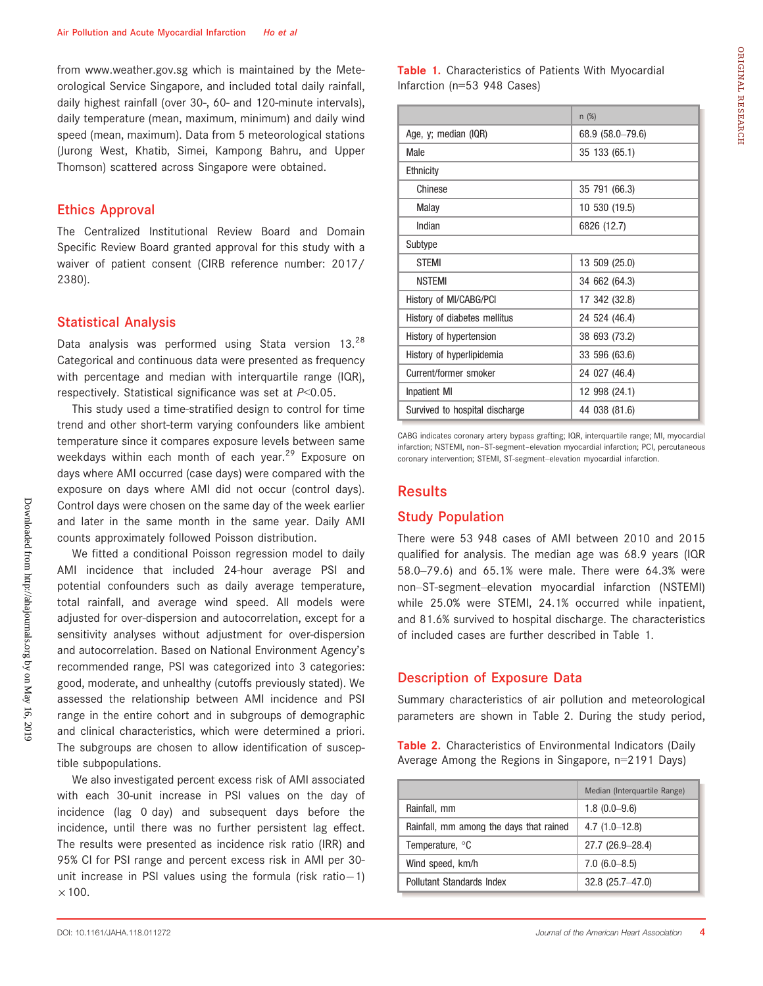from [www.weather.gov.sg](http://www.weather.gov.sg) which is maintained by the Meteorological Service Singapore, and included total daily rainfall, daily highest rainfall (over 30-, 60- and 120-minute intervals), daily temperature (mean, maximum, minimum) and daily wind speed (mean, maximum). Data from 5 meteorological stations (Jurong West, Khatib, Simei, Kampong Bahru, and Upper Thomson) scattered across Singapore were obtained.

### Ethics Approval

The Centralized Institutional Review Board and Domain Specific Review Board granted approval for this study with a waiver of patient consent (CIRB reference number: 2017/ 2380).

## Statistical Analysis

Data analysis was performed using Stata version 13.<sup>28</sup> Categorical and continuous data were presented as frequency with percentage and median with interquartile range (IQR), respectively. Statistical significance was set at  $P<0.05$ .

This study used a time-stratified design to control for time trend and other short-term varying confounders like ambient temperature since it compares exposure levels between same weekdays within each month of each year.<sup>29</sup> Exposure on days where AMI occurred (case days) were compared with the exposure on days where AMI did not occur (control days). Control days were chosen on the same day of the week earlier and later in the same month in the same year. Daily AMI counts approximately followed Poisson distribution.

We fitted a conditional Poisson regression model to daily AMI incidence that included 24-hour average PSI and potential confounders such as daily average temperature, total rainfall, and average wind speed. All models were adjusted for over-dispersion and autocorrelation, except for a sensitivity analyses without adjustment for over-dispersion and autocorrelation. Based on National Environment Agency's recommended range, PSI was categorized into 3 categories: good, moderate, and unhealthy (cutoffs previously stated). We assessed the relationship between AMI incidence and PSI range in the entire cohort and in subgroups of demographic and clinical characteristics, which were determined a priori. The subgroups are chosen to allow identification of susceptible subpopulations.

We also investigated percent excess risk of AMI associated with each 30-unit increase in PSI values on the day of incidence (lag 0 day) and subsequent days before the incidence, until there was no further persistent lag effect. The results were presented as incidence risk ratio (IRR) and 95% CI for PSI range and percent excess risk in AMI per 30 unit increase in PSI values using the formula (risk ratio $-1$ )  $\times$ 100.

Table 1. Characteristics of Patients With Myocardial Infarction (n=53 948 Cases)

|                                | n(%)             |
|--------------------------------|------------------|
| Age, y; median (IQR)           | 68.9 (58.0–79.6) |
| Male                           | 35 133 (65.1)    |
| Ethnicity                      |                  |
| Chinese                        | 35 791 (66.3)    |
| Malay                          | 10 530 (19.5)    |
| Indian                         | 6826 (12.7)      |
| Subtype                        |                  |
| <b>STEMI</b>                   | 13 509 (25.0)    |
| <b>NSTEMI</b>                  | 34 662 (64.3)    |
| History of MI/CABG/PCI         | 17 342 (32.8)    |
| History of diabetes mellitus   | 24 524 (46.4)    |
| History of hypertension        | 38 693 (73.2)    |
| History of hyperlipidemia      | 33 596 (63.6)    |
| Current/former smoker          | 24 027 (46.4)    |
| <b>Inpatient MI</b>            | 12 998 (24.1)    |
| Survived to hospital discharge | 44 038 (81.6)    |

CABG indicates coronary artery bypass grafting; IQR, interquartile range; MI, myocardial infarction; NSTEMI, non–ST-segment–elevation myocardial infarction; PCI, percutaneous coronary intervention; STEMI, ST-segment–elevation myocardial infarction.

## **Results**

#### Study Population

There were 53 948 cases of AMI between 2010 and 2015 qualified for analysis. The median age was 68.9 years (IQR 58.0–79.6) and 65.1% were male. There were 64.3% were non–ST-segment–elevation myocardial infarction (NSTEMI) while 25.0% were STEMI, 24.1% occurred while inpatient, and 81.6% survived to hospital discharge. The characteristics of included cases are further described in Table 1.

## Description of Exposure Data

Summary characteristics of air pollution and meteorological parameters are shown in Table 2. During the study period,

Table 2. Characteristics of Environmental Indicators (Daily Average Among the Regions in Singapore, n=2191 Days)

| Median (Interguartile Range)                               |                     |  |  |
|------------------------------------------------------------|---------------------|--|--|
| Rainfall, mm                                               | $1.8(0.0-9.6)$      |  |  |
| Rainfall, mm among the days that rained<br>$4.7(1.0-12.8)$ |                     |  |  |
| Temperature, °C                                            | $27.7(26.9-28.4)$   |  |  |
| Wind speed, km/h                                           | $7.0(6.0-8.5)$      |  |  |
| Pollutant Standards Index                                  | $32.8(25.7 - 47.0)$ |  |  |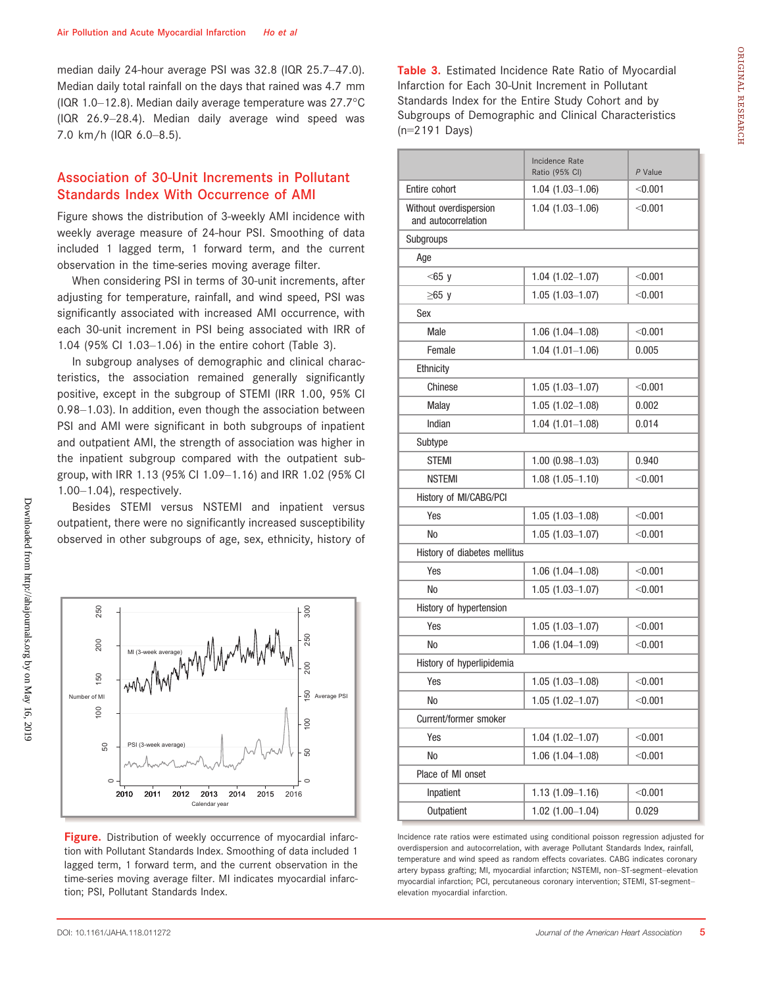median daily 24-hour average PSI was 32.8 (IQR 25.7–47.0). Median daily total rainfall on the days that rained was 4.7 mm (IQR 1.0–12.8). Median daily average temperature was 27.7°C (IQR 26.9–28.4). Median daily average wind speed was 7.0 km/h (IQR 6.0–8.5).

## Association of 30-Unit Increments in Pollutant Standards Index With Occurrence of AMI

Figure shows the distribution of 3-weekly AMI incidence with weekly average measure of 24-hour PSI. Smoothing of data included 1 lagged term, 1 forward term, and the current observation in the time-series moving average filter.

When considering PSI in terms of 30-unit increments, after adjusting for temperature, rainfall, and wind speed, PSI was significantly associated with increased AMI occurrence, with each 30-unit increment in PSI being associated with IRR of 1.04 (95% CI 1.03–1.06) in the entire cohort (Table 3).

In subgroup analyses of demographic and clinical characteristics, the association remained generally significantly positive, except in the subgroup of STEMI (IRR 1.00, 95% CI 0.98–1.03). In addition, even though the association between PSI and AMI were significant in both subgroups of inpatient and outpatient AMI, the strength of association was higher in the inpatient subgroup compared with the outpatient subgroup, with IRR 1.13 (95% CI 1.09–1.16) and IRR 1.02 (95% CI 1.00–1.04), respectively.

Besides STEMI versus NSTEMI and inpatient versus outpatient, there were no significantly increased susceptibility observed in other subgroups of age, sex, ethnicity, history of



Figure. Distribution of weekly occurrence of myocardial infarction with Pollutant Standards Index. Smoothing of data included 1 lagged term, 1 forward term, and the current observation in the time-series moving average filter. MI indicates myocardial infarction; PSI, Pollutant Standards Index.

Table 3. Estimated Incidence Rate Ratio of Myocardial Infarction for Each 30-Unit Increment in Pollutant Standards Index for the Entire Study Cohort and by Subgroups of Demographic and Clinical Characteristics (n=2191 Days)

|                                               | Incidence Rate         |                |  |
|-----------------------------------------------|------------------------|----------------|--|
|                                               | Ratio (95% CI)         | P Value        |  |
| Entire cohort                                 | $1.04(1.03 - 1.06)$    | < 0.001        |  |
| Without overdispersion<br>and autocorrelation | $1.04(1.03 - 1.06)$    | < 0.001        |  |
| Subgroups                                     |                        |                |  |
| Age                                           |                        |                |  |
| $<$ 65 y                                      | $1.04$ $(1.02 - 1.07)$ | < 0.001        |  |
| ≥65 y                                         | $1.05(1.03 - 1.07)$    | < 0.001        |  |
| Sex                                           |                        |                |  |
| Male                                          | $1.06$ $(1.04 - 1.08)$ | < 0.001        |  |
| Female                                        | $1.04(1.01 - 1.06)$    | 0.005          |  |
| Ethnicity                                     |                        |                |  |
| Chinese                                       | $1.05(1.03 - 1.07)$    | < 0.001        |  |
| Malay                                         | $1.05(1.02 - 1.08)$    | 0.002          |  |
| Indian                                        | $1.04(1.01 - 1.08)$    | 0.014          |  |
| Subtype                                       |                        |                |  |
| <b>STFMI</b>                                  | $1.00$ $(0.98 - 1.03)$ | 0.940          |  |
| <b>NSTEMI</b>                                 | $1.08(1.05 - 1.10)$    | < 0.001        |  |
| History of MI/CABG/PCI                        |                        |                |  |
| Yes                                           | $1.05(1.03 - 1.08)$    | $<$ 0.001      |  |
| No                                            | $1.05(1.03 - 1.07)$    | < 0.001        |  |
| History of diabetes mellitus                  |                        |                |  |
| Yes                                           | $1.06$ $(1.04 - 1.08)$ | < 0.001        |  |
| No                                            | $1.05(1.03 - 1.07)$    | < 0.001        |  |
| History of hypertension                       |                        |                |  |
| Yes                                           | $1.05(1.03 - 1.07)$    | < 0.001        |  |
| No                                            | $1.06$ $(1.04 - 1.09)$ | $<$ 0.001 $\,$ |  |
| History of hyperlipidemia                     |                        |                |  |
| <b>Yes</b>                                    | $1.05(1.03 - 1.08)$    | < 0.001        |  |
| No                                            | $1.05(1.02 - 1.07)$    | < 0.001        |  |
| Current/former smoker                         |                        |                |  |
| Yes                                           | $1.04$ $(1.02 - 1.07)$ | < 0.001        |  |
| No                                            | $1.06$ $(1.04 - 1.08)$ | < 0.001        |  |
| Place of MI onset                             |                        |                |  |
| Inpatient                                     | $1.13(1.09 - 1.16)$    | < 0.001        |  |
| Outpatient                                    | $1.02$ $(1.00-1.04)$   | 0.029          |  |

Incidence rate ratios were estimated using conditional poisson regression adjusted for overdispersion and autocorrelation, with average Pollutant Standards Index, rainfall, temperature and wind speed as random effects covariates. CABG indicates coronary artery bypass grafting; MI, myocardial infarction; NSTEMI, non–ST-segment–elevation myocardial infarction; PCI, percutaneous coronary intervention; STEMI, ST-segment– elevation myocardial infarction.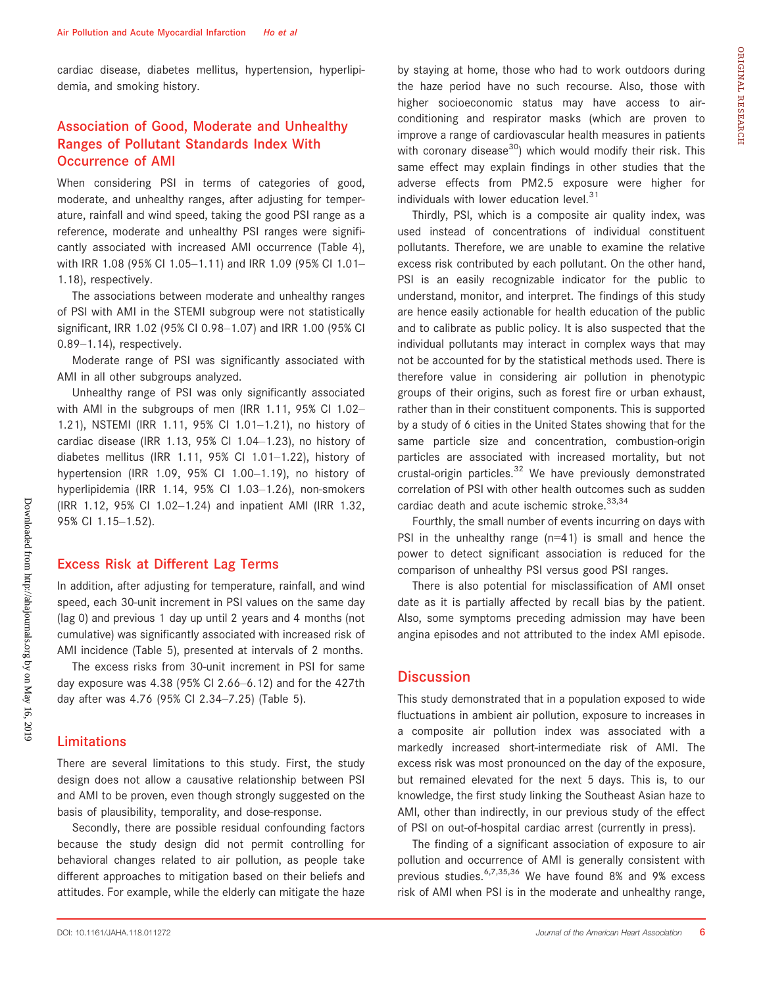cardiac disease, diabetes mellitus, hypertension, hyperlipidemia, and smoking history.

## Association of Good, Moderate and Unhealthy Ranges of Pollutant Standards Index With Occurrence of AMI

When considering PSI in terms of categories of good, moderate, and unhealthy ranges, after adjusting for temperature, rainfall and wind speed, taking the good PSI range as a reference, moderate and unhealthy PSI ranges were significantly associated with increased AMI occurrence (Table 4), with IRR 1.08 (95% CI 1.05–1.11) and IRR 1.09 (95% CI 1.01– 1.18), respectively.

The associations between moderate and unhealthy ranges of PSI with AMI in the STEMI subgroup were not statistically significant, IRR 1.02 (95% CI 0.98–1.07) and IRR 1.00 (95% CI 0.89–1.14), respectively.

Moderate range of PSI was significantly associated with AMI in all other subgroups analyzed.

Unhealthy range of PSI was only significantly associated with AMI in the subgroups of men (IRR 1.11, 95% CI 1.02– 1.21), NSTEMI (IRR 1.11, 95% CI 1.01–1.21), no history of cardiac disease (IRR 1.13, 95% CI 1.04–1.23), no history of diabetes mellitus (IRR 1.11, 95% CI 1.01–1.22), history of hypertension (IRR 1.09, 95% CI 1.00–1.19), no history of hyperlipidemia (IRR 1.14, 95% CI 1.03–1.26), non-smokers (IRR 1.12, 95% CI 1.02–1.24) and inpatient AMI (IRR 1.32, 95% CI 1.15–1.52).

## Excess Risk at Different Lag Terms

In addition, after adjusting for temperature, rainfall, and wind speed, each 30-unit increment in PSI values on the same day (lag 0) and previous 1 day up until 2 years and 4 months (not cumulative) was significantly associated with increased risk of AMI incidence (Table 5), presented at intervals of 2 months.

The excess risks from 30-unit increment in PSI for same day exposure was 4.38 (95% CI 2.66–6.12) and for the 427th day after was 4.76 (95% CI 2.34–7.25) (Table 5).

### Limitations

Downloaded from http://ahajournals.org by on May 16, 2019

Downloaded from http://ahajournals.org by on May 16, 2019

There are several limitations to this study. First, the study design does not allow a causative relationship between PSI and AMI to be proven, even though strongly suggested on the basis of plausibility, temporality, and dose-response.

Secondly, there are possible residual confounding factors because the study design did not permit controlling for behavioral changes related to air pollution, as people take different approaches to mitigation based on their beliefs and attitudes. For example, while the elderly can mitigate the haze by staying at home, those who had to work outdoors during the haze period have no such recourse. Also, those with higher socioeconomic status may have access to airconditioning and respirator masks (which are proven to improve a range of cardiovascular health measures in patients with coronary disease<sup>30</sup>) which would modify their risk. This same effect may explain findings in other studies that the adverse effects from PM2.5 exposure were higher for individuals with lower education level.<sup>31</sup>

Thirdly, PSI, which is a composite air quality index, was used instead of concentrations of individual constituent pollutants. Therefore, we are unable to examine the relative excess risk contributed by each pollutant. On the other hand, PSI is an easily recognizable indicator for the public to understand, monitor, and interpret. The findings of this study are hence easily actionable for health education of the public and to calibrate as public policy. It is also suspected that the individual pollutants may interact in complex ways that may not be accounted for by the statistical methods used. There is therefore value in considering air pollution in phenotypic groups of their origins, such as forest fire or urban exhaust, rather than in their constituent components. This is supported by a study of 6 cities in the United States showing that for the same particle size and concentration, combustion-origin particles are associated with increased mortality, but not crustal-origin particles.<sup>32</sup> We have previously demonstrated correlation of PSI with other health outcomes such as sudden cardiac death and acute ischemic stroke.<sup>33,34</sup>

Fourthly, the small number of events incurring on days with PSI in the unhealthy range  $(n=41)$  is small and hence the power to detect significant association is reduced for the comparison of unhealthy PSI versus good PSI ranges.

There is also potential for misclassification of AMI onset date as it is partially affected by recall bias by the patient. Also, some symptoms preceding admission may have been angina episodes and not attributed to the index AMI episode.

## **Discussion**

This study demonstrated that in a population exposed to wide fluctuations in ambient air pollution, exposure to increases in a composite air pollution index was associated with a markedly increased short-intermediate risk of AMI. The excess risk was most pronounced on the day of the exposure, but remained elevated for the next 5 days. This is, to our knowledge, the first study linking the Southeast Asian haze to AMI, other than indirectly, in our previous study of the effect of PSI on out-of-hospital cardiac arrest (currently in press).

The finding of a significant association of exposure to air pollution and occurrence of AMI is generally consistent with previous studies.<sup>6,7,35,36</sup> We have found 8% and 9% excess risk of AMI when PSI is in the moderate and unhealthy range,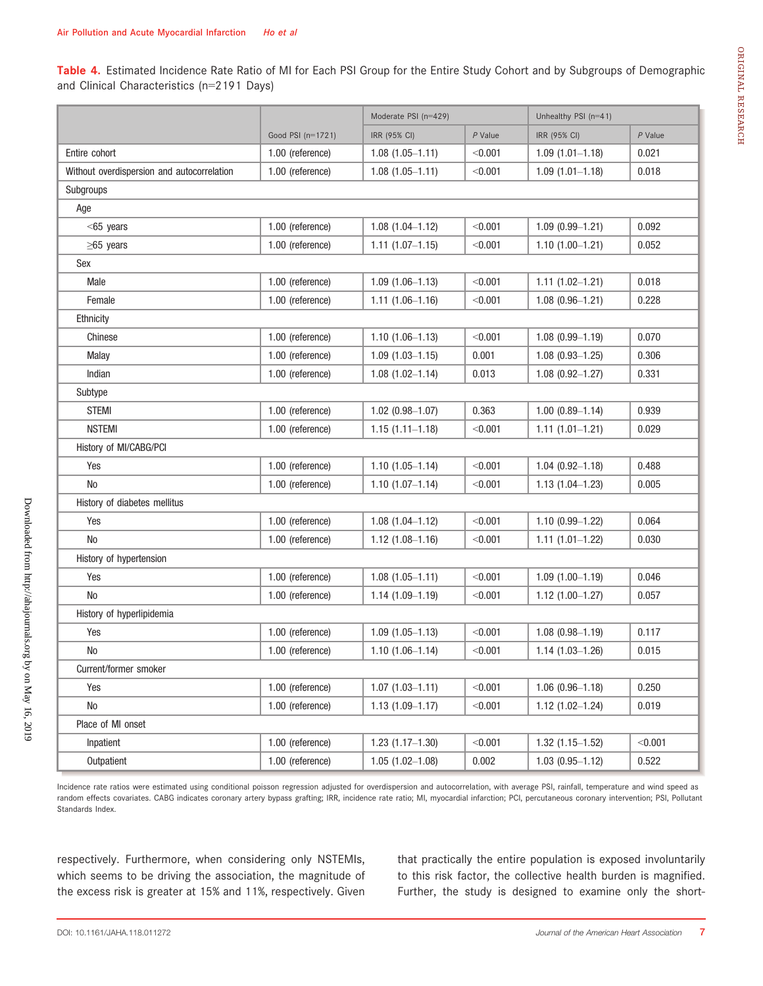Table 4. Estimated Incidence Rate Ratio of MI for Each PSI Group for the Entire Study Cohort and by Subgroups of Demographic and Clinical Characteristics (n=2191 Days)

|                                            |                   | Moderate PSI (n=429) |         | Unhealthy PSI (n=41)   |         |
|--------------------------------------------|-------------------|----------------------|---------|------------------------|---------|
|                                            | Good PSI (n=1721) | IRR (95% CI)         | P Value | IRR (95% CI)           | P Value |
| Entire cohort                              | 1.00 (reference)  | $1.08(1.05 - 1.11)$  | < 0.001 | $1.09(1.01 - 1.18)$    | 0.021   |
| Without overdispersion and autocorrelation | 1.00 (reference)  | $1.08(1.05 - 1.11)$  | < 0.001 | $1.09(1.01 - 1.18)$    | 0.018   |
| Subgroups                                  |                   |                      |         |                        |         |
| Age                                        |                   |                      |         |                        |         |
| $<$ 65 years                               | 1.00 (reference)  | $1.08(1.04 - 1.12)$  | < 0.001 | $1.09(0.99 - 1.21)$    | 0.092   |
| $\geq 65$ years                            | 1.00 (reference)  | $1.11(1.07 - 1.15)$  | < 0.001 | $1.10(1.00-1.21)$      | 0.052   |
| Sex                                        |                   |                      |         |                        |         |
| Male                                       | 1.00 (reference)  | $1.09(1.06 - 1.13)$  | < 0.001 | $1.11(1.02 - 1.21)$    | 0.018   |
| Female                                     | 1.00 (reference)  | $1.11(1.06 - 1.16)$  | < 0.001 | $1.08(0.96 - 1.21)$    | 0.228   |
| Ethnicity                                  |                   |                      |         |                        |         |
| Chinese                                    | 1.00 (reference)  | $1.10(1.06 - 1.13)$  | < 0.001 | $1.08(0.99 - 1.19)$    | 0.070   |
| Malay                                      | 1.00 (reference)  | $1.09(1.03 - 1.15)$  | 0.001   | $1.08$ $(0.93 - 1.25)$ | 0.306   |
| Indian                                     | 1.00 (reference)  | $1.08(1.02 - 1.14)$  | 0.013   | $1.08(0.92 - 1.27)$    | 0.331   |
| Subtype                                    |                   |                      |         |                        |         |
| <b>STEMI</b>                               | 1.00 (reference)  | $1.02$ (0.98-1.07)   | 0.363   | $1.00(0.89 - 1.14)$    | 0.939   |
| <b>NSTEMI</b>                              | 1.00 (reference)  | $1.15(1.11 - 1.18)$  | < 0.001 | $1.11(1.01 - 1.21)$    | 0.029   |
| History of MI/CABG/PCI                     |                   |                      |         |                        |         |
| Yes                                        | 1.00 (reference)  | $1.10(1.05 - 1.14)$  | < 0.001 | $1.04(0.92 - 1.18)$    | 0.488   |
| <b>No</b>                                  | 1.00 (reference)  | $1.10(1.07 - 1.14)$  | < 0.001 | $1.13(1.04 - 1.23)$    | 0.005   |
| History of diabetes mellitus               |                   |                      |         |                        |         |
| Yes                                        | 1.00 (reference)  | $1.08(1.04 - 1.12)$  | < 0.001 | $1.10(0.99 - 1.22)$    | 0.064   |
| No                                         | 1.00 (reference)  | $1.12(1.08 - 1.16)$  | < 0.001 | $1.11(1.01 - 1.22)$    | 0.030   |
| History of hypertension                    |                   |                      |         |                        |         |
| Yes                                        | 1.00 (reference)  | $1.08(1.05 - 1.11)$  | < 0.001 | $1.09(1.00 - 1.19)$    | 0.046   |
| <b>No</b>                                  | 1.00 (reference)  | $1.14(1.09 - 1.19)$  | < 0.001 | $1.12(1.00-1.27)$      | 0.057   |
| History of hyperlipidemia                  |                   |                      |         |                        |         |
| Yes                                        | 1.00 (reference)  | $1.09(1.05 - 1.13)$  | < 0.001 | $1.08(0.98 - 1.19)$    | 0.117   |
| No                                         | 1.00 (reference)  | $1.10(1.06 - 1.14)$  | < 0.001 | $1.14(1.03 - 1.26)$    | 0.015   |
| Current/former smoker                      |                   |                      |         |                        |         |
| Yes                                        | 1.00 (reference)  | $1.07(1.03 - 1.11)$  | < 0.001 | $1.06$ $(0.96 - 1.18)$ | 0.250   |
| No                                         | 1.00 (reference)  | $1.13(1.09 - 1.17)$  | < 0.001 | $1.12(1.02 - 1.24)$    | 0.019   |
| Place of MI onset                          |                   |                      |         |                        |         |
| Inpatient                                  | 1.00 (reference)  | $1.23(1.17-1.30)$    | < 0.001 | $1.32(1.15 - 1.52)$    | < 0.001 |
| Outpatient                                 | 1.00 (reference)  | $1.05(1.02 - 1.08)$  | 0.002   | $1.03(0.95 - 1.12)$    | 0.522   |

Incidence rate ratios were estimated using conditional poisson regression adjusted for overdispersion and autocorrelation, with average PSI, rainfall, temperature and wind speed as random effects covariates. CABG indicates coronary artery bypass grafting; IRR, incidence rate ratio; MI, myocardial infarction; PCI, percutaneous coronary intervention; PSI, Pollutant Standards Index.

respectively. Furthermore, when considering only NSTEMIs, which seems to be driving the association, the magnitude of the excess risk is greater at 15% and 11%, respectively. Given that practically the entire population is exposed involuntarily to this risk factor, the collective health burden is magnified. Further, the study is designed to examine only the short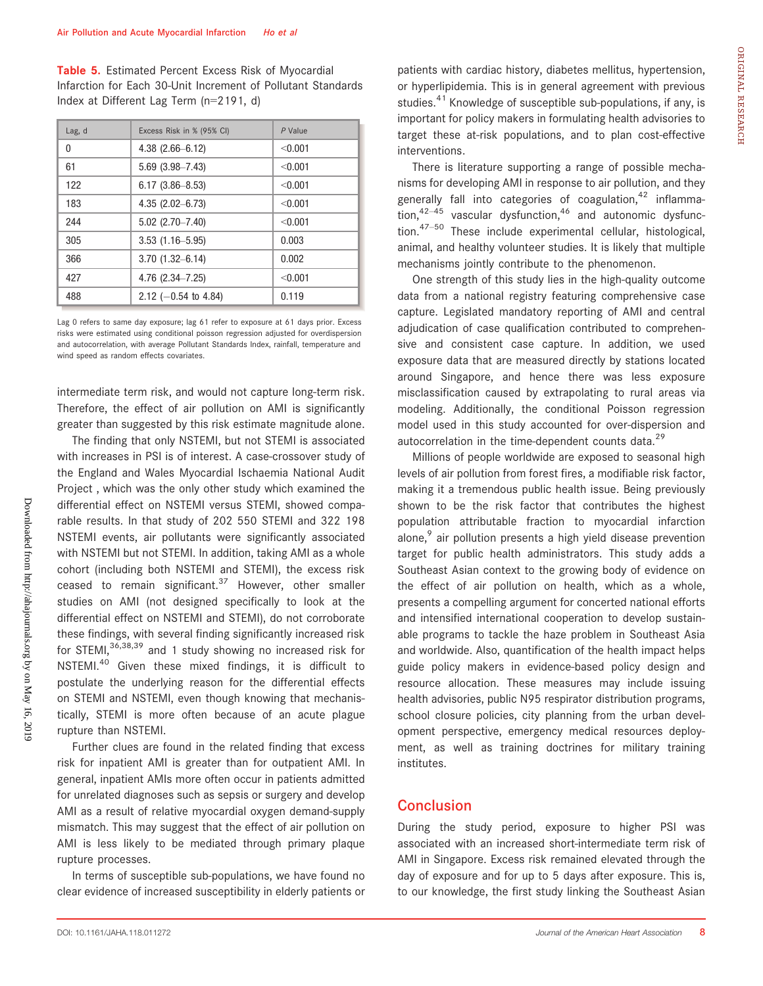Table 5. Estimated Percent Excess Risk of Myocardial Infarction for Each 30-Unit Increment of Pollutant Standards Index at Different Lag Term (n=2191, d)

| Lag, d       | Excess Risk in % (95% CI)       | $P$ Value |
|--------------|---------------------------------|-----------|
| $\mathbf{0}$ | $4.38(2.66 - 6.12)$             | < 0.001   |
| 61           | $5.69$ $(3.98 - 7.43)$          | < 0.001   |
| 122          | $6.17(3.86 - 8.53)$             | < 0.001   |
| 183          | $4.35(2.02 - 6.73)$             | < 0.001   |
| 244          | $5.02$ $(2.70 - 7.40)$          | < 0.001   |
| 305          | $3.53(1.16 - 5.95)$             | 0.003     |
| 366          | $3.70(1.32 - 6.14)$             | 0.002     |
| 427          | 4.76 (2.34-7.25)                | < 0.001   |
| 488          | 2.12 $(-0.54 \text{ to } 4.84)$ | 0.119     |

Lag 0 refers to same day exposure; lag 61 refer to exposure at 61 days prior. Excess risks were estimated using conditional poisson regression adjusted for overdispersion and autocorrelation, with average Pollutant Standards Index, rainfall, temperature and wind speed as random effects covariates.

intermediate term risk, and would not capture long-term risk. Therefore, the effect of air pollution on AMI is significantly greater than suggested by this risk estimate magnitude alone.

The finding that only NSTEMI, but not STEMI is associated with increases in PSI is of interest. A case-crossover study of the England and Wales Myocardial Ischaemia National Audit Project , which was the only other study which examined the differential effect on NSTEMI versus STEMI, showed comparable results. In that study of 202 550 STEMI and 322 198 NSTEMI events, air pollutants were significantly associated with NSTEMI but not STEMI. In addition, taking AMI as a whole cohort (including both NSTEMI and STEMI), the excess risk ceased to remain significant.<sup>37</sup> However, other smaller studies on AMI (not designed specifically to look at the differential effect on NSTEMI and STEMI), do not corroborate these findings, with several finding significantly increased risk for STEMI,<sup>36,38,39</sup> and 1 study showing no increased risk for NSTEMI.<sup>40</sup> Given these mixed findings, it is difficult to postulate the underlying reason for the differential effects on STEMI and NSTEMI, even though knowing that mechanistically, STEMI is more often because of an acute plague rupture than NSTEMI.

Further clues are found in the related finding that excess risk for inpatient AMI is greater than for outpatient AMI. In general, inpatient AMIs more often occur in patients admitted for unrelated diagnoses such as sepsis or surgery and develop AMI as a result of relative myocardial oxygen demand-supply mismatch. This may suggest that the effect of air pollution on AMI is less likely to be mediated through primary plaque rupture processes.

In terms of susceptible sub-populations, we have found no clear evidence of increased susceptibility in elderly patients or patients with cardiac history, diabetes mellitus, hypertension, or hyperlipidemia. This is in general agreement with previous studies.<sup>41</sup> Knowledge of susceptible sub-populations, if any, is important for policy makers in formulating health advisories to target these at-risk populations, and to plan cost-effective interventions.

There is literature supporting a range of possible mechanisms for developing AMI in response to air pollution, and they generally fall into categories of coagulation,<sup>42</sup> inflammation, $42-45$  vascular dysfunction, $46$  and autonomic dysfunction.47–<sup>50</sup> These include experimental cellular, histological, animal, and healthy volunteer studies. It is likely that multiple mechanisms jointly contribute to the phenomenon.

One strength of this study lies in the high-quality outcome data from a national registry featuring comprehensive case capture. Legislated mandatory reporting of AMI and central adjudication of case qualification contributed to comprehensive and consistent case capture. In addition, we used exposure data that are measured directly by stations located around Singapore, and hence there was less exposure misclassification caused by extrapolating to rural areas via modeling. Additionally, the conditional Poisson regression model used in this study accounted for over-dispersion and autocorrelation in the time-dependent counts data.<sup>29</sup>

Millions of people worldwide are exposed to seasonal high levels of air pollution from forest fires, a modifiable risk factor, making it a tremendous public health issue. Being previously shown to be the risk factor that contributes the highest population attributable fraction to myocardial infarction alone, $9$  air pollution presents a high yield disease prevention target for public health administrators. This study adds a Southeast Asian context to the growing body of evidence on the effect of air pollution on health, which as a whole, presents a compelling argument for concerted national efforts and intensified international cooperation to develop sustainable programs to tackle the haze problem in Southeast Asia and worldwide. Also, quantification of the health impact helps guide policy makers in evidence-based policy design and resource allocation. These measures may include issuing health advisories, public N95 respirator distribution programs, school closure policies, city planning from the urban development perspective, emergency medical resources deployment, as well as training doctrines for military training institutes.

## Conclusion

During the study period, exposure to higher PSI was associated with an increased short-intermediate term risk of AMI in Singapore. Excess risk remained elevated through the day of exposure and for up to 5 days after exposure. This is, to our knowledge, the first study linking the Southeast Asian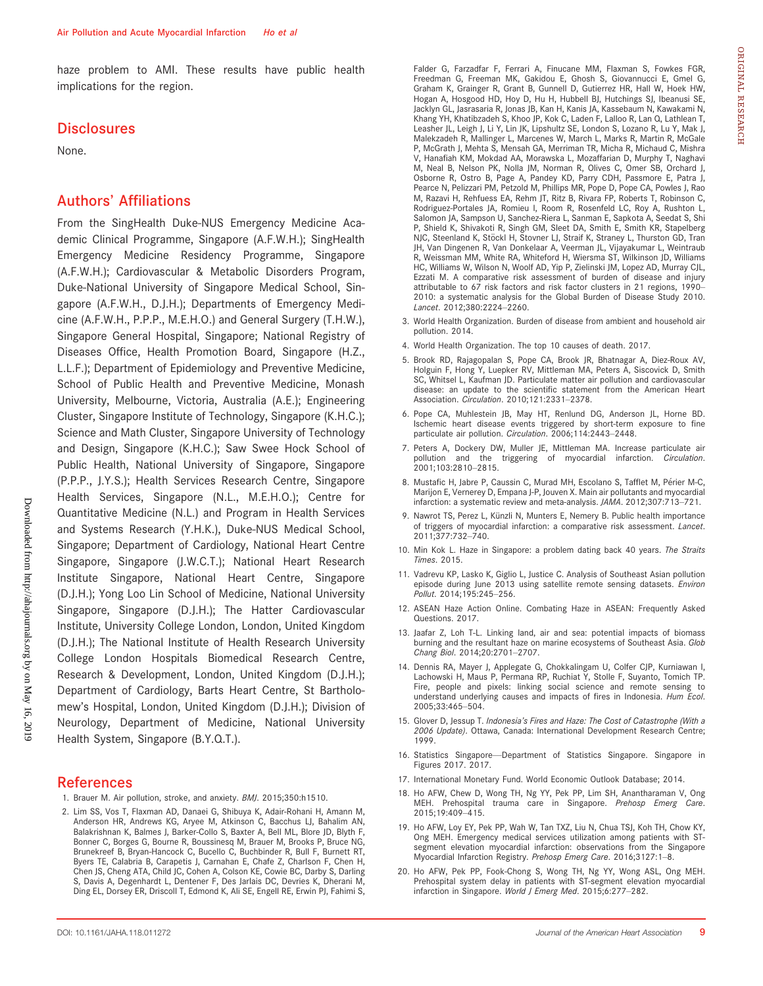haze problem to AMI. These results have public health implications for the region.

#### **Disclosures**

None.

## Authors' Affiliations

From the SingHealth Duke-NUS Emergency Medicine Academic Clinical Programme, Singapore (A.F.W.H.); SingHealth Emergency Medicine Residency Programme, Singapore (A.F.W.H.); Cardiovascular & Metabolic Disorders Program, Duke-National University of Singapore Medical School, Singapore (A.F.W.H., D.J.H.); Departments of Emergency Medicine (A.F.W.H., P.P.P., M.E.H.O.) and General Surgery (T.H.W.), Singapore General Hospital, Singapore; National Registry of Diseases Office, Health Promotion Board, Singapore (H.Z., L.L.F.); Department of Epidemiology and Preventive Medicine, School of Public Health and Preventive Medicine, Monash University, Melbourne, Victoria, Australia (A.E.); Engineering Cluster, Singapore Institute of Technology, Singapore (K.H.C.); Science and Math Cluster, Singapore University of Technology and Design, Singapore (K.H.C.); Saw Swee Hock School of Public Health, National University of Singapore, Singapore (P.P.P., J.Y.S.); Health Services Research Centre, Singapore Health Services, Singapore (N.L., M.E.H.O.); Centre for Quantitative Medicine (N.L.) and Program in Health Services and Systems Research (Y.H.K.), Duke-NUS Medical School, Singapore; Department of Cardiology, National Heart Centre Singapore, Singapore (J.W.C.T.); National Heart Research Institute Singapore, National Heart Centre, Singapore (D.J.H.); Yong Loo Lin School of Medicine, National University Singapore, Singapore (D.J.H.); The Hatter Cardiovascular Institute, University College London, London, United Kingdom (D.J.H.); The National Institute of Health Research University College London Hospitals Biomedical Research Centre, Research & Development, London, United Kingdom (D.J.H.); Department of Cardiology, Barts Heart Centre, St Bartholomew's Hospital, London, United Kingdom (D.J.H.); Division of Neurology, Department of Medicine, National University Health System, Singapore (B.Y.Q.T.).

#### References

1. Brauer M. Air pollution, stroke, and anxiety. BMJ. 2015;350:h1510.

2. Lim SS, Vos T, Flaxman AD, Danaei G, Shibuya K, Adair-Rohani H, Amann M, Anderson HR, Andrews KG, Aryee M, Atkinson C, Bacchus LJ, Bahalim AN, Balakrishnan K, Balmes J, Barker-Collo S, Baxter A, Bell ML, Blore JD, Blyth F, Bonner C, Borges G, Bourne R, Boussinesq M, Brauer M, Brooks P, Bruce NG, Brunekreef B, Bryan-Hancock C, Bucello C, Buchbinder R, Bull F, Burnett RT, Byers TE, Calabria B, Carapetis J, Carnahan E, Chafe Z, Charlson F, Chen H, Chen JS, Cheng ATA, Child JC, Cohen A, Colson KE, Cowie BC, Darby S, Darling S, Davis A, Degenhardt L, Dentener F, Des Jarlais DC, Devries K, Dherani M, Ding EL, Dorsey ER, Driscoll T, Edmond K, Ali SE, Engell RE, Erwin PJ, Fahimi S,

Falder G, Farzadfar F, Ferrari A, Finucane MM, Flaxman S, Fowkes FGR, Freedman G, Freeman MK, Gakidou E, Ghosh S, Giovannucci E, Gmel G, Graham K, Grainger R, Grant B, Gunnell D, Gutierrez HR, Hall W, Hoek HW, Hogan A, Hosgood HD, Hoy D, Hu H, Hubbell BJ, Hutchings SJ, Ibeanusi SE, Jacklyn GL, Jasrasaria R, Jonas JB, Kan H, Kanis JA, Kassebaum N, Kawakami N, Khang YH, Khatibzadeh S, Khoo JP, Kok C, Laden F, Lalloo R, Lan Q, Lathlean T, Leasher JL, Leigh J, Li Y, Lin JK, Lipshultz SE, London S, Lozano R, Lu Y, Mak J, Malekzadeh R, Mallinger L, Marcenes W, March L, Marks R, Martin R, McGale P, McGrath J, Mehta S, Mensah GA, Merriman TR, Micha R, Michaud C, Mishra V, Hanafiah KM, Mokdad AA, Morawska L, Mozaffarian D, Murphy T, Naghavi M, Neal B, Nelson PK, Nolla JM, Norman R, Olives C, Omer SB, Orchard J, Osborne R, Ostro B, Page A, Pandey KD, Parry CDH, Passmore E, Patra J, Pearce N, Pelizzari PM, Petzold M, Phillips MR, Pope D, Pope CA, Powles J, Rao M, Razavi H, Rehfuess EA, Rehm JT, Ritz B, Rivara FP, Roberts T, Robinson C, Rodriguez-Portales JA, Romieu I, Room R, Rosenfeld LC, Roy A, Rushton L, Salomon JA, Sampson U, Sanchez-Riera L, Sanman E, Sapkota A, Seedat S, Shi P, Shield K, Shivakoti R, Singh GM, Sleet DA, Smith E, Smith KR, Stapelberg NJC, Steenland K, Stöckl H, Stovner LJ, Straif K, Straney L, Thurston GD, Tran JH, Van Dingenen R, Van Donkelaar A, Veerman JL, Vijayakumar L, Weintraub R, Weissman MM, White RA, Whiteford H, Wiersma ST, Wilkinson JD, Williams HC, Williams W, Wilson N, Woolf AD, Yip P, Zielinski JM, Lopez AD, Murray CJL, Ezzati M. A comparative risk assessment of burden of disease and injury attributable to 67 risk factors and risk factor clusters in 21 regions, 1990– 2010: a systematic analysis for the Global Burden of Disease Study 2010. Lancet. 2012;380:2224–2260.

- 3. World Health Organization. Burden of disease from ambient and household air pollution. 2014.
- 4. World Health Organization. The top 10 causes of death. 2017.
- 5. Brook RD, Rajagopalan S, Pope CA, Brook JR, Bhatnagar A, Diez-Roux AV, Holguin F, Hong Y, Luepker RV, Mittleman MA, Peters A, Siscovick D, Smith SC, Whitsel L, Kaufman JD. Particulate matter air pollution and cardiovascular disease: an update to the scientific statement from the American Heart Association. Circulation. 2010;121:2331–2378.
- 6. Pope CA, Muhlestein JB, May HT, Renlund DG, Anderson JL, Horne BD. Ischemic heart disease events triggered by short-term exposure to fine particulate air pollution. Circulation. 2006;114:2443–2448.
- 7. Peters A, Dockery DW, Muller JE, Mittleman MA. Increase particulate air pollution and the triggering of myocardial infarction. Circulation. 2001;103:2810–2815.
- 8. Mustafic H, Jabre P, Caussin C, Murad MH, Escolano S, Tafflet M, Périer M-C, Marijon E, Vernerey D, Empana J-P, Jouven X. Main air pollutants and myocardial infarction: a systematic review and meta-analysis. JAMA. 2012;307:713–721.
- 9. Nawrot TS, Perez L, Künzli N, Munters E, Nemery B. Public health importance of triggers of myocardial infarction: a comparative risk assessment. Lancet. 2011;377:732–740.
- 10. Min Kok L. Haze in Singapore: a problem dating back 40 years. The Straits Times. 2015.
- 11. Vadrevu KP, Lasko K, Giglio L, Justice C. Analysis of Southeast Asian pollution episode during June 2013 using satellite remote sensing datasets. Environ Pollut. 2014;195:245–256.
- 12. ASEAN Haze Action Online. Combating Haze in ASEAN: Frequently Asked Questions. 2017.
- 13. Jaafar Z, Loh T-L. Linking land, air and sea: potential impacts of biomass burning and the resultant haze on marine ecosystems of Southeast Asia. Glob Chang Biol. 2014;20:2701–2707.
- 14. Dennis RA, Mayer J, Applegate G, Chokkalingam U, Colfer CJP, Kurniawan I, Lachowski H, Maus P, Permana RP, Ruchiat Y, Stolle F, Suyanto, Tomich TP. Fire, people and pixels: linking social science and remote sensing to understand underlying causes and impacts of fires in Indonesia. Hum Ecol. 2005;33:465–504.
- 15. Glover D, Jessup T. Indonesia's Fires and Haze: The Cost of Catastrophe (With a 2006 Update). Ottawa, Canada: International Development Research Centre; 1999.
- 16. Statistics Singapore—Department of Statistics Singapore. Singapore in Figures 2017. 2017.
- 17. International Monetary Fund. World Economic Outlook Database; 2014.
- 18. Ho AFW, Chew D, Wong TH, Ng YY, Pek PP, Lim SH, Anantharaman V, Ong MEH. Prehospital trauma care in Singapore. Prehosp Emerg Care. 2015;19:409–415.
- 19. Ho AFW, Loy EY, Pek PP, Wah W, Tan TXZ, Liu N, Chua TSJ, Koh TH, Chow KY, Ong MEH. Emergency medical services utilization among patients with STsegment elevation myocardial infarction: observations from the Singapore Myocardial Infarction Registry. Prehosp Emerg Care. 2016;3127:1–8.
- 20. Ho AFW, Pek PP, Fook-Chong S, Wong TH, Ng YY, Wong ASL, Ong MEH. Prehospital system delay in patients with ST-segment elevation myocardial infarction in Singapore. World J Emerg Med. 2015;6:277–282.